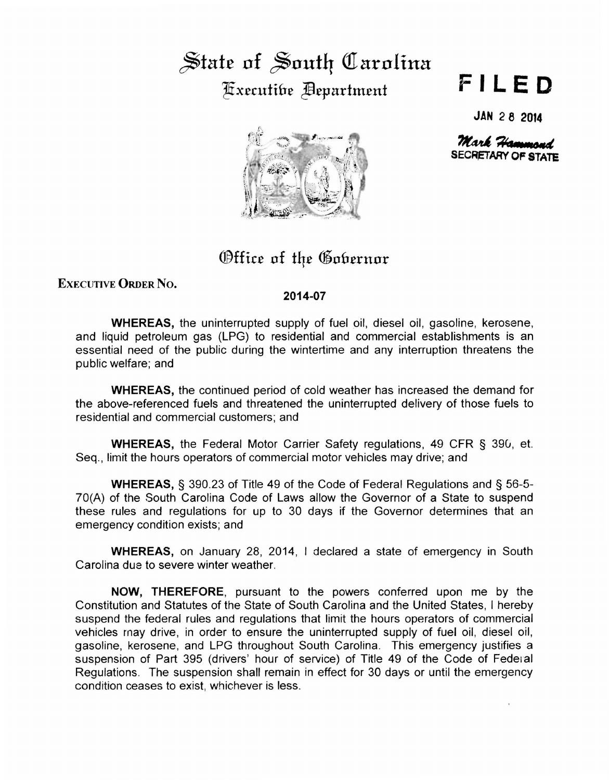## $\frac{1}{2}$  State of South Carolina Fixecutibe **Department**

## **FILED**

**JAN 2 8 2014** 

 $\mathcal{M}$ ark Hammond **SECRETARY OF STATE** 



Office of the Gobernor

ExEcUTIVE ORDER No.

## **2014-07**

**WHEREAS,** the uninterrupted supply of fuel oil, diesel oil, gasoline, kerosene, and liquid petroleum gas (LPG) to residential and commercial establishments is an essential need of the public during the wintertime and any interruption threatens the public welfare; and

**WHEREAS,** the continued period of cold weather has increased the demand for the above-referenced fuels and threatened the uninterrupted delivery of those fuels to residential and commercial customers; and

**WHEREAS,** the Federal Motor Carrier Safety regulations, 49 CFR § 39G, et. Seq., limit the hours operators of commercial motor vehicles may drive; and

**WHEREAS,** § 390.23 of Title 49 of the Code of Federal Regulations and § 56-5- ?0(A) of the South Carolina Code of Laws allow the Governor of a State to suspend these rules and regulations for up to 30 days if the Governor determines that an emergency condition exists; and

**WHEREAS,** on January 28, 2014, I declared a state of emergency in South Carolina due to severe winter weather.

**NOW, THEREFORE,** pursuant to the powers conferred upon me by the Constitution and Statutes of the State of South Carolina and the United States, I hereby suspend the federal rules and regulations that limit the hours operators of commercial vehicles rnay drive, in order to ensure the uninterrupted supply of fuel oil, diesel oil, gasoline, kerosene, and LPG throughout South Carolina. This emergency justifies a suspension of Part 395 (drivers' hour of service) of Title 49 of the Code of Federal Regulations. The suspension shall remain in effect for 30 days or until the emergency condition ceases to exist, whichever is less.